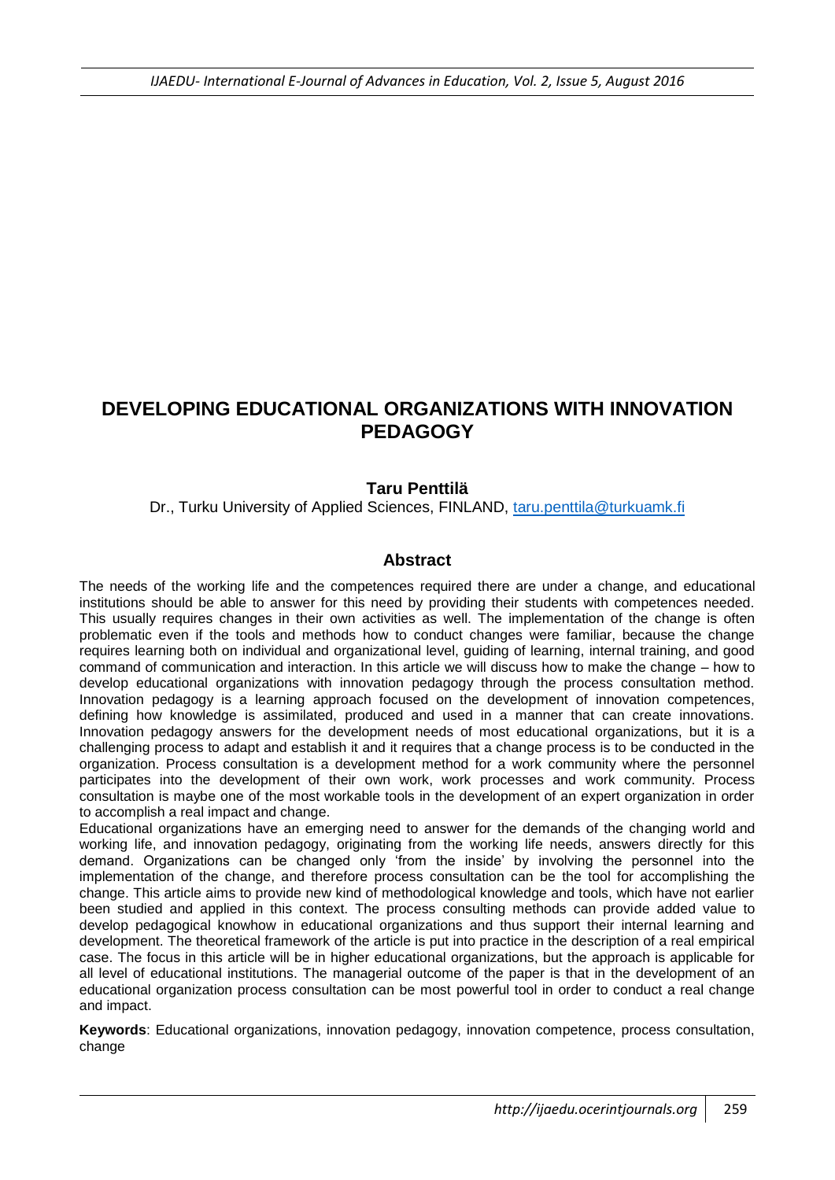# **DEVELOPING EDUCATIONAL ORGANIZATIONS WITH INNOVATION PEDAGOGY**

#### **Taru Penttilä**

Dr., Turku University of Applied Sciences, FINLAND, [taru.penttila@turkuamk.fi](mailto:taru.penttila@turkuamk.fi)

#### **Abstract**

The needs of the working life and the competences required there are under a change, and educational institutions should be able to answer for this need by providing their students with competences needed. This usually requires changes in their own activities as well. The implementation of the change is often problematic even if the tools and methods how to conduct changes were familiar, because the change requires learning both on individual and organizational level, guiding of learning, internal training, and good command of communication and interaction. In this article we will discuss how to make the change – how to develop educational organizations with innovation pedagogy through the process consultation method. Innovation pedagogy is a learning approach focused on the development of innovation competences, defining how knowledge is assimilated, produced and used in a manner that can create innovations. Innovation pedagogy answers for the development needs of most educational organizations, but it is a challenging process to adapt and establish it and it requires that a change process is to be conducted in the organization. Process consultation is a development method for a work community where the personnel participates into the development of their own work, work processes and work community. Process consultation is maybe one of the most workable tools in the development of an expert organization in order to accomplish a real impact and change.

Educational organizations have an emerging need to answer for the demands of the changing world and working life, and innovation pedagogy, originating from the working life needs, answers directly for this demand. Organizations can be changed only 'from the inside' by involving the personnel into the implementation of the change, and therefore process consultation can be the tool for accomplishing the change. This article aims to provide new kind of methodological knowledge and tools, which have not earlier been studied and applied in this context. The process consulting methods can provide added value to develop pedagogical knowhow in educational organizations and thus support their internal learning and development. The theoretical framework of the article is put into practice in the description of a real empirical case. The focus in this article will be in higher educational organizations, but the approach is applicable for all level of educational institutions. The managerial outcome of the paper is that in the development of an educational organization process consultation can be most powerful tool in order to conduct a real change and impact.

**Keywords**: Educational organizations, innovation pedagogy, innovation competence, process consultation, change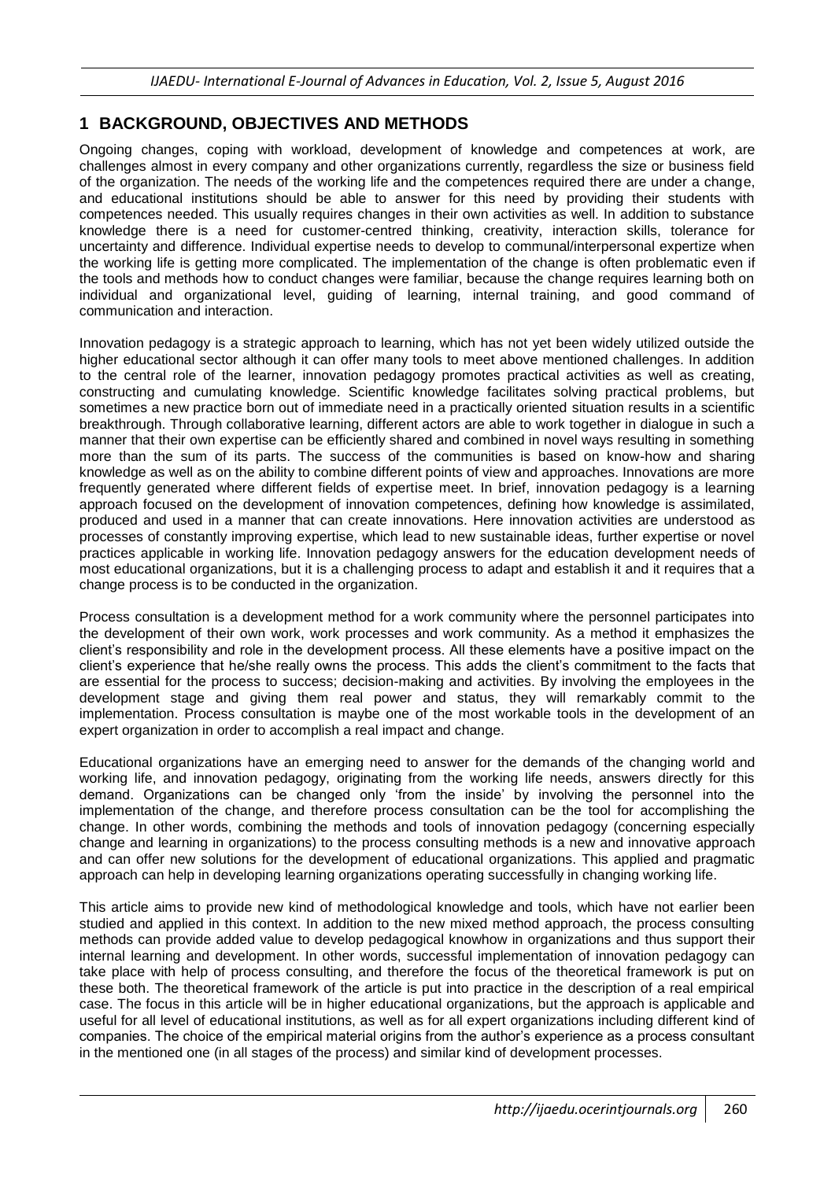### **1 BACKGROUND, OBJECTIVES AND METHODS**

Ongoing changes, coping with workload, development of knowledge and competences at work, are challenges almost in every company and other organizations currently, regardless the size or business field of the organization. The needs of the working life and the competences required there are under a change, and educational institutions should be able to answer for this need by providing their students with competences needed. This usually requires changes in their own activities as well. In addition to substance knowledge there is a need for customer-centred thinking, creativity, interaction skills, tolerance for uncertainty and difference. Individual expertise needs to develop to communal/interpersonal expertize when the working life is getting more complicated. The implementation of the change is often problematic even if the tools and methods how to conduct changes were familiar, because the change requires learning both on individual and organizational level, guiding of learning, internal training, and good command of communication and interaction.

Innovation pedagogy is a strategic approach to learning, which has not yet been widely utilized outside the higher educational sector although it can offer many tools to meet above mentioned challenges. In addition to the central role of the learner, innovation pedagogy promotes practical activities as well as creating, constructing and cumulating knowledge. Scientific knowledge facilitates solving practical problems, but sometimes a new practice born out of immediate need in a practically oriented situation results in a scientific breakthrough. Through collaborative learning, different actors are able to work together in dialogue in such a manner that their own expertise can be efficiently shared and combined in novel ways resulting in something more than the sum of its parts. The success of the communities is based on know-how and sharing knowledge as well as on the ability to combine different points of view and approaches. Innovations are more frequently generated where different fields of expertise meet. In brief, innovation pedagogy is a learning approach focused on the development of innovation competences, defining how knowledge is assimilated, produced and used in a manner that can create innovations. Here innovation activities are understood as processes of constantly improving expertise, which lead to new sustainable ideas, further expertise or novel practices applicable in working life. Innovation pedagogy answers for the education development needs of most educational organizations, but it is a challenging process to adapt and establish it and it requires that a change process is to be conducted in the organization.

Process consultation is a development method for a work community where the personnel participates into the development of their own work, work processes and work community. As a method it emphasizes the client's responsibility and role in the development process. All these elements have a positive impact on the client's experience that he/she really owns the process. This adds the client's commitment to the facts that are essential for the process to success; decision-making and activities. By involving the employees in the development stage and giving them real power and status, they will remarkably commit to the implementation. Process consultation is maybe one of the most workable tools in the development of an expert organization in order to accomplish a real impact and change.

Educational organizations have an emerging need to answer for the demands of the changing world and working life, and innovation pedagogy, originating from the working life needs, answers directly for this demand. Organizations can be changed only 'from the inside' by involving the personnel into the implementation of the change, and therefore process consultation can be the tool for accomplishing the change. In other words, combining the methods and tools of innovation pedagogy (concerning especially change and learning in organizations) to the process consulting methods is a new and innovative approach and can offer new solutions for the development of educational organizations. This applied and pragmatic approach can help in developing learning organizations operating successfully in changing working life.

This article aims to provide new kind of methodological knowledge and tools, which have not earlier been studied and applied in this context. In addition to the new mixed method approach, the process consulting methods can provide added value to develop pedagogical knowhow in organizations and thus support their internal learning and development. In other words, successful implementation of innovation pedagogy can take place with help of process consulting, and therefore the focus of the theoretical framework is put on these both. The theoretical framework of the article is put into practice in the description of a real empirical case. The focus in this article will be in higher educational organizations, but the approach is applicable and useful for all level of educational institutions, as well as for all expert organizations including different kind of companies. The choice of the empirical material origins from the author's experience as a process consultant in the mentioned one (in all stages of the process) and similar kind of development processes.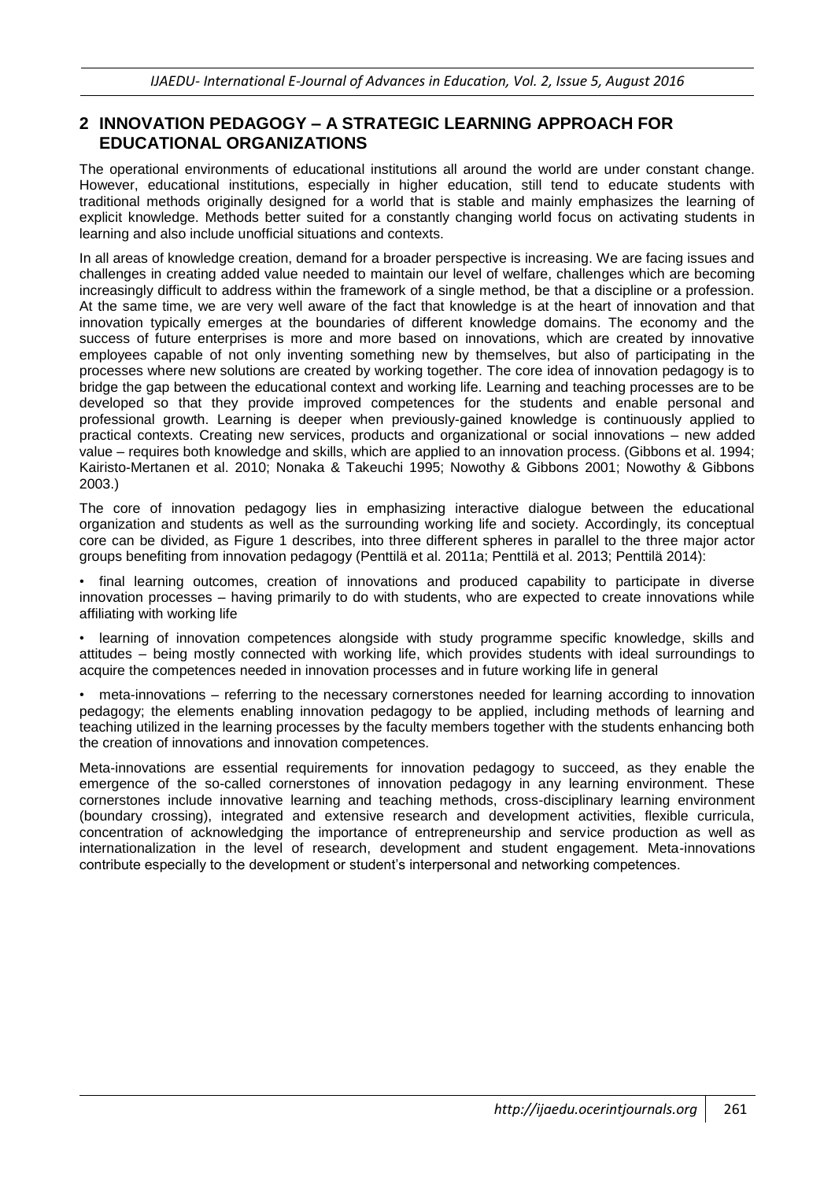## **2 INNOVATION PEDAGOGY – A STRATEGIC LEARNING APPROACH FOR EDUCATIONAL ORGANIZATIONS**

The operational environments of educational institutions all around the world are under constant change. However, educational institutions, especially in higher education, still tend to educate students with traditional methods originally designed for a world that is stable and mainly emphasizes the learning of explicit knowledge. Methods better suited for a constantly changing world focus on activating students in learning and also include unofficial situations and contexts.

In all areas of knowledge creation, demand for a broader perspective is increasing. We are facing issues and challenges in creating added value needed to maintain our level of welfare, challenges which are becoming increasingly difficult to address within the framework of a single method, be that a discipline or a profession. At the same time, we are very well aware of the fact that knowledge is at the heart of innovation and that innovation typically emerges at the boundaries of different knowledge domains. The economy and the success of future enterprises is more and more based on innovations, which are created by innovative employees capable of not only inventing something new by themselves, but also of participating in the processes where new solutions are created by working together. The core idea of innovation pedagogy is to bridge the gap between the educational context and working life. Learning and teaching processes are to be developed so that they provide improved competences for the students and enable personal and professional growth. Learning is deeper when previously-gained knowledge is continuously applied to practical contexts. Creating new services, products and organizational or social innovations – new added value – requires both knowledge and skills, which are applied to an innovation process. (Gibbons et al. 1994; Kairisto-Mertanen et al. 2010; Nonaka & Takeuchi 1995; Nowothy & Gibbons 2001; Nowothy & Gibbons 2003.)

The core of innovation pedagogy lies in emphasizing interactive dialogue between the educational organization and students as well as the surrounding working life and society. Accordingly, its conceptual core can be divided, as Figure 1 describes, into three different spheres in parallel to the three major actor groups benefiting from innovation pedagogy (Penttilä et al. 2011a; Penttilä et al. 2013; Penttilä 2014):

• final learning outcomes, creation of innovations and produced capability to participate in diverse innovation processes – having primarily to do with students, who are expected to create innovations while affiliating with working life

• learning of innovation competences alongside with study programme specific knowledge, skills and attitudes – being mostly connected with working life, which provides students with ideal surroundings to acquire the competences needed in innovation processes and in future working life in general

• meta-innovations – referring to the necessary cornerstones needed for learning according to innovation pedagogy; the elements enabling innovation pedagogy to be applied, including methods of learning and teaching utilized in the learning processes by the faculty members together with the students enhancing both the creation of innovations and innovation competences.

Meta-innovations are essential requirements for innovation pedagogy to succeed, as they enable the emergence of the so-called cornerstones of innovation pedagogy in any learning environment. These cornerstones include innovative learning and teaching methods, cross-disciplinary learning environment (boundary crossing), integrated and extensive research and development activities, flexible curricula, concentration of acknowledging the importance of entrepreneurship and service production as well as internationalization in the level of research, development and student engagement. Meta-innovations contribute especially to the development or student's interpersonal and networking competences.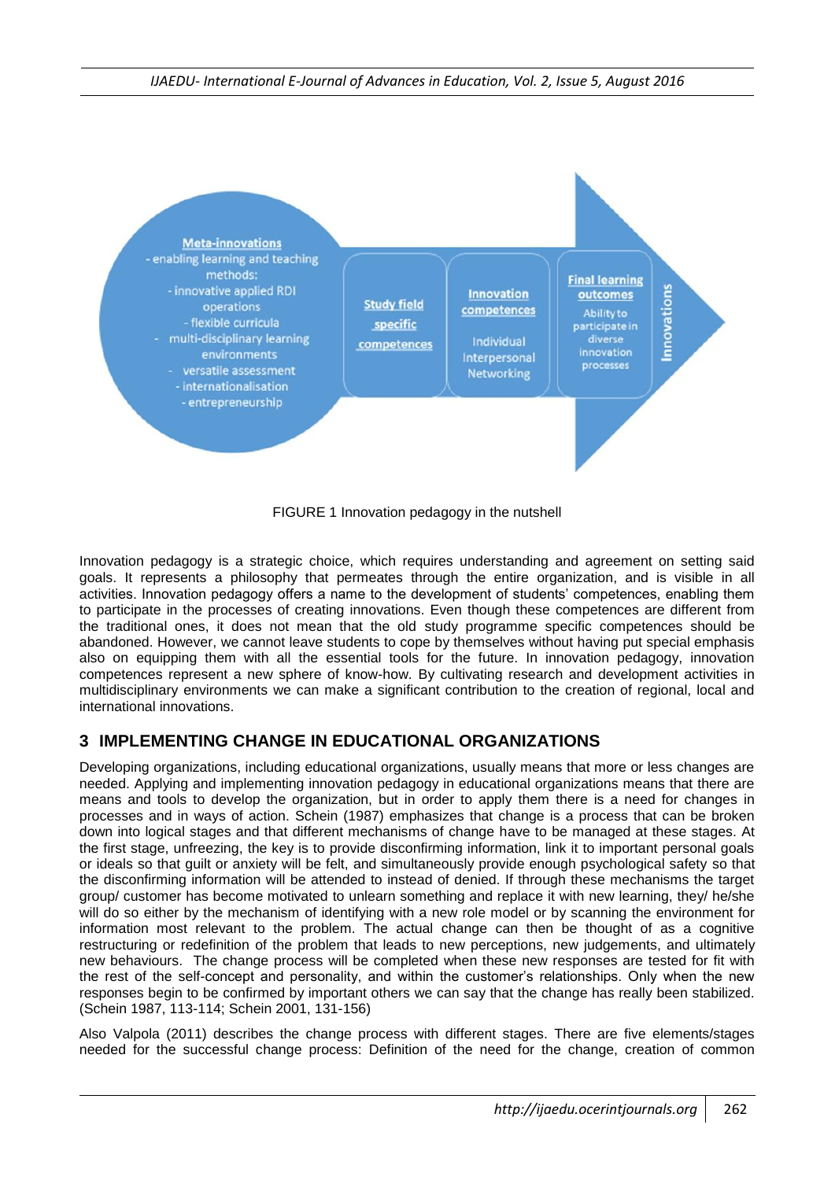

FIGURE 1 Innovation pedagogy in the nutshell

Innovation pedagogy is a strategic choice, which requires understanding and agreement on setting said goals. It represents a philosophy that permeates through the entire organization, and is visible in all activities. Innovation pedagogy offers a name to the development of students' competences, enabling them to participate in the processes of creating innovations. Even though these competences are different from the traditional ones, it does not mean that the old study programme specific competences should be abandoned. However, we cannot leave students to cope by themselves without having put special emphasis also on equipping them with all the essential tools for the future. In innovation pedagogy, innovation competences represent a new sphere of know-how. By cultivating research and development activities in multidisciplinary environments we can make a significant contribution to the creation of regional, local and international innovations.

## **3 IMPLEMENTING CHANGE IN EDUCATIONAL ORGANIZATIONS**

Developing organizations, including educational organizations, usually means that more or less changes are needed. Applying and implementing innovation pedagogy in educational organizations means that there are means and tools to develop the organization, but in order to apply them there is a need for changes in processes and in ways of action. Schein (1987) emphasizes that change is a process that can be broken down into logical stages and that different mechanisms of change have to be managed at these stages. At the first stage, unfreezing, the key is to provide disconfirming information, link it to important personal goals or ideals so that guilt or anxiety will be felt, and simultaneously provide enough psychological safety so that the disconfirming information will be attended to instead of denied. If through these mechanisms the target group/ customer has become motivated to unlearn something and replace it with new learning, they/ he/she will do so either by the mechanism of identifying with a new role model or by scanning the environment for information most relevant to the problem. The actual change can then be thought of as a cognitive restructuring or redefinition of the problem that leads to new perceptions, new judgements, and ultimately new behaviours. The change process will be completed when these new responses are tested for fit with the rest of the self-concept and personality, and within the customer's relationships. Only when the new responses begin to be confirmed by important others we can say that the change has really been stabilized. (Schein 1987, 113-114; Schein 2001, 131-156)

Also Valpola (2011) describes the change process with different stages. There are five elements/stages needed for the successful change process: Definition of the need for the change, creation of common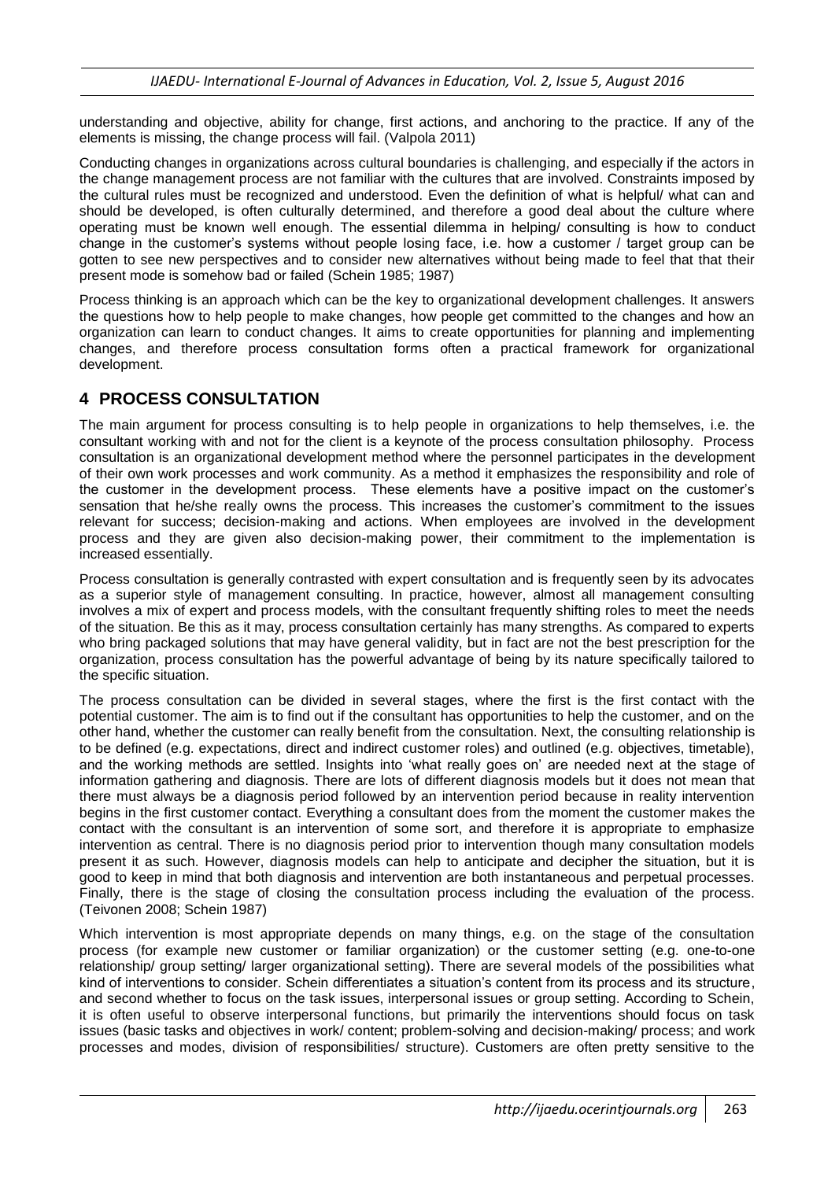understanding and objective, ability for change, first actions, and anchoring to the practice. If any of the elements is missing, the change process will fail. (Valpola 2011)

Conducting changes in organizations across cultural boundaries is challenging, and especially if the actors in the change management process are not familiar with the cultures that are involved. Constraints imposed by the cultural rules must be recognized and understood. Even the definition of what is helpful/ what can and should be developed, is often culturally determined, and therefore a good deal about the culture where operating must be known well enough. The essential dilemma in helping/ consulting is how to conduct change in the customer's systems without people losing face, i.e. how a customer / target group can be gotten to see new perspectives and to consider new alternatives without being made to feel that that their present mode is somehow bad or failed (Schein 1985; 1987)

Process thinking is an approach which can be the key to organizational development challenges. It answers the questions how to help people to make changes, how people get committed to the changes and how an organization can learn to conduct changes. It aims to create opportunities for planning and implementing changes, and therefore process consultation forms often a practical framework for organizational development.

## **4 PROCESS CONSULTATION**

The main argument for process consulting is to help people in organizations to help themselves, i.e. the consultant working with and not for the client is a keynote of the process consultation philosophy. Process consultation is an organizational development method where the personnel participates in the development of their own work processes and work community. As a method it emphasizes the responsibility and role of the customer in the development process. These elements have a positive impact on the customer's sensation that he/she really owns the process. This increases the customer's commitment to the issues relevant for success; decision-making and actions. When employees are involved in the development process and they are given also decision-making power, their commitment to the implementation is increased essentially.

Process consultation is generally contrasted with expert consultation and is frequently seen by its advocates as a superior style of management consulting. In practice, however, almost all management consulting involves a mix of expert and process models, with the consultant frequently shifting roles to meet the needs of the situation. Be this as it may, process consultation certainly has many strengths. As compared to experts who bring packaged solutions that may have general validity, but in fact are not the best prescription for the organization, process consultation has the powerful advantage of being by its nature specifically tailored to the specific situation.

The process consultation can be divided in several stages, where the first is the first contact with the potential customer. The aim is to find out if the consultant has opportunities to help the customer, and on the other hand, whether the customer can really benefit from the consultation. Next, the consulting relationship is to be defined (e.g. expectations, direct and indirect customer roles) and outlined (e.g. objectives, timetable), and the working methods are settled. Insights into 'what really goes on' are needed next at the stage of information gathering and diagnosis. There are lots of different diagnosis models but it does not mean that there must always be a diagnosis period followed by an intervention period because in reality intervention begins in the first customer contact. Everything a consultant does from the moment the customer makes the contact with the consultant is an intervention of some sort, and therefore it is appropriate to emphasize intervention as central. There is no diagnosis period prior to intervention though many consultation models present it as such. However, diagnosis models can help to anticipate and decipher the situation, but it is good to keep in mind that both diagnosis and intervention are both instantaneous and perpetual processes. Finally, there is the stage of closing the consultation process including the evaluation of the process. (Teivonen 2008; Schein 1987)

Which intervention is most appropriate depends on many things, e.g. on the stage of the consultation process (for example new customer or familiar organization) or the customer setting (e.g. one-to-one relationship/ group setting/ larger organizational setting). There are several models of the possibilities what kind of interventions to consider. Schein differentiates a situation's content from its process and its structure, and second whether to focus on the task issues, interpersonal issues or group setting. According to Schein, it is often useful to observe interpersonal functions, but primarily the interventions should focus on task issues (basic tasks and objectives in work/ content; problem-solving and decision-making/ process; and work processes and modes, division of responsibilities/ structure). Customers are often pretty sensitive to the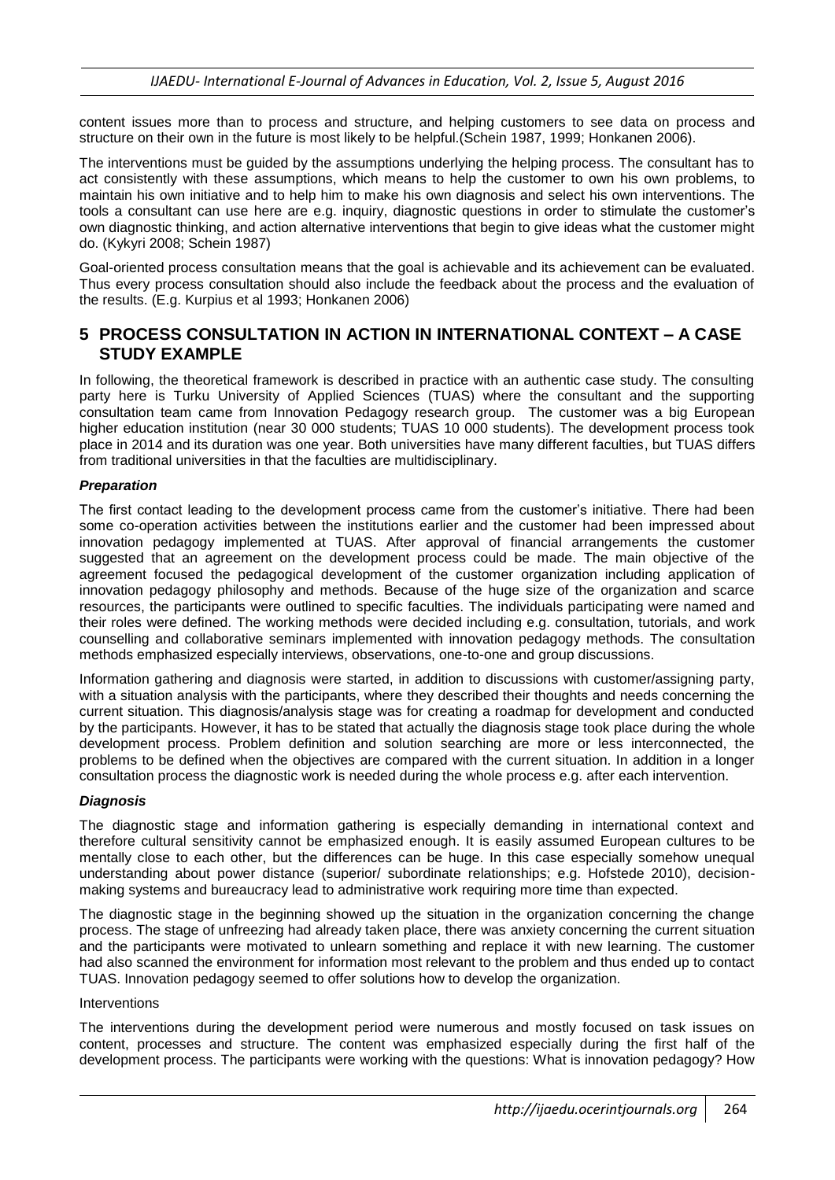content issues more than to process and structure, and helping customers to see data on process and structure on their own in the future is most likely to be helpful.(Schein 1987, 1999; Honkanen 2006).

The interventions must be guided by the assumptions underlying the helping process. The consultant has to act consistently with these assumptions, which means to help the customer to own his own problems, to maintain his own initiative and to help him to make his own diagnosis and select his own interventions. The tools a consultant can use here are e.g. inquiry, diagnostic questions in order to stimulate the customer's own diagnostic thinking, and action alternative interventions that begin to give ideas what the customer might do. (Kykyri 2008; Schein 1987)

Goal-oriented process consultation means that the goal is achievable and its achievement can be evaluated. Thus every process consultation should also include the feedback about the process and the evaluation of the results. (E.g. Kurpius et al 1993; Honkanen 2006)

### **5 PROCESS CONSULTATION IN ACTION IN INTERNATIONAL CONTEXT – A CASE STUDY EXAMPLE**

In following, the theoretical framework is described in practice with an authentic case study. The consulting party here is Turku University of Applied Sciences (TUAS) where the consultant and the supporting consultation team came from Innovation Pedagogy research group. The customer was a big European higher education institution (near 30 000 students; TUAS 10 000 students). The development process took place in 2014 and its duration was one year. Both universities have many different faculties, but TUAS differs from traditional universities in that the faculties are multidisciplinary.

#### *Preparation*

The first contact leading to the development process came from the customer's initiative. There had been some co-operation activities between the institutions earlier and the customer had been impressed about innovation pedagogy implemented at TUAS. After approval of financial arrangements the customer suggested that an agreement on the development process could be made. The main objective of the agreement focused the pedagogical development of the customer organization including application of innovation pedagogy philosophy and methods. Because of the huge size of the organization and scarce resources, the participants were outlined to specific faculties. The individuals participating were named and their roles were defined. The working methods were decided including e.g. consultation, tutorials, and work counselling and collaborative seminars implemented with innovation pedagogy methods. The consultation methods emphasized especially interviews, observations, one-to-one and group discussions.

Information gathering and diagnosis were started, in addition to discussions with customer/assigning party, with a situation analysis with the participants, where they described their thoughts and needs concerning the current situation. This diagnosis/analysis stage was for creating a roadmap for development and conducted by the participants. However, it has to be stated that actually the diagnosis stage took place during the whole development process. Problem definition and solution searching are more or less interconnected, the problems to be defined when the objectives are compared with the current situation. In addition in a longer consultation process the diagnostic work is needed during the whole process e.g. after each intervention.

#### *Diagnosis*

The diagnostic stage and information gathering is especially demanding in international context and therefore cultural sensitivity cannot be emphasized enough. It is easily assumed European cultures to be mentally close to each other, but the differences can be huge. In this case especially somehow unequal understanding about power distance (superior/ subordinate relationships; e.g. Hofstede 2010), decisionmaking systems and bureaucracy lead to administrative work requiring more time than expected.

The diagnostic stage in the beginning showed up the situation in the organization concerning the change process. The stage of unfreezing had already taken place, there was anxiety concerning the current situation and the participants were motivated to unlearn something and replace it with new learning. The customer had also scanned the environment for information most relevant to the problem and thus ended up to contact TUAS. Innovation pedagogy seemed to offer solutions how to develop the organization.

#### Interventions

The interventions during the development period were numerous and mostly focused on task issues on content, processes and structure. The content was emphasized especially during the first half of the development process. The participants were working with the questions: What is innovation pedagogy? How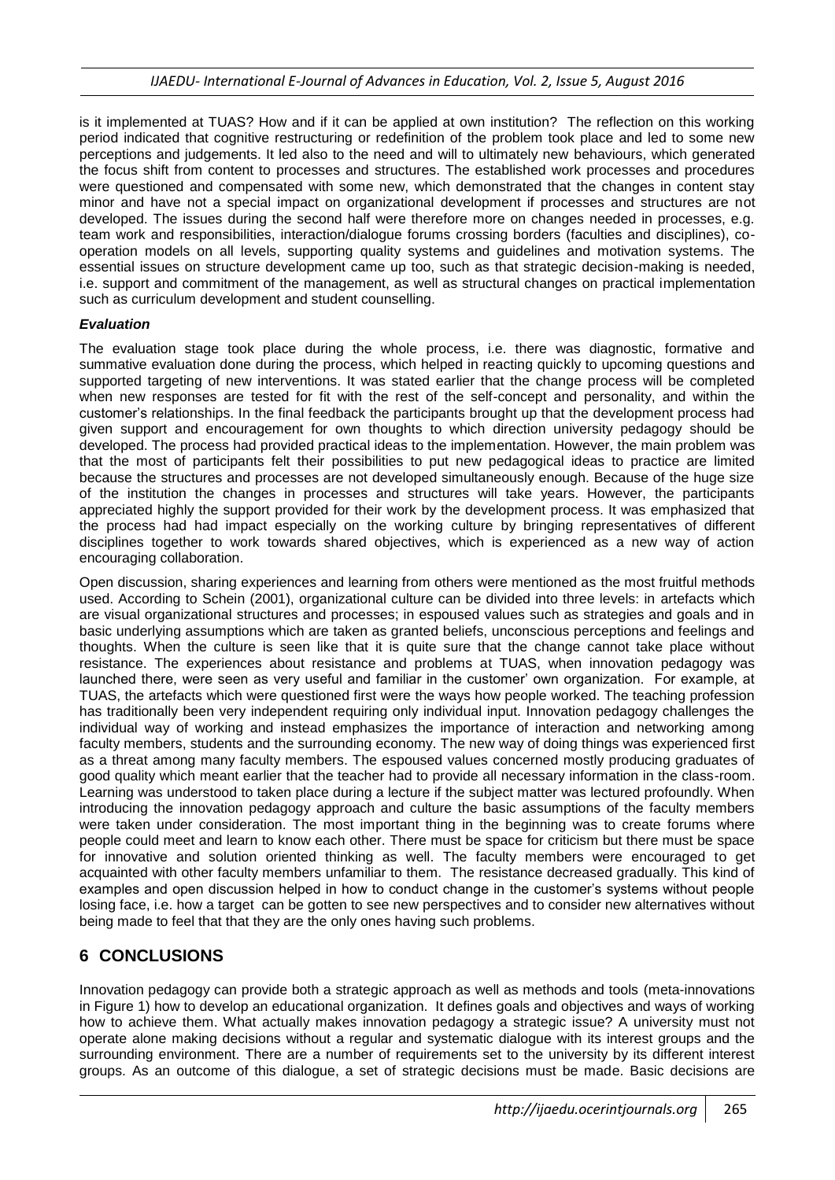is it implemented at TUAS? How and if it can be applied at own institution? The reflection on this working period indicated that cognitive restructuring or redefinition of the problem took place and led to some new perceptions and judgements. It led also to the need and will to ultimately new behaviours, which generated the focus shift from content to processes and structures. The established work processes and procedures were questioned and compensated with some new, which demonstrated that the changes in content stay minor and have not a special impact on organizational development if processes and structures are not developed. The issues during the second half were therefore more on changes needed in processes, e.g. team work and responsibilities, interaction/dialogue forums crossing borders (faculties and disciplines), cooperation models on all levels, supporting quality systems and guidelines and motivation systems. The essential issues on structure development came up too, such as that strategic decision-making is needed, i.e. support and commitment of the management, as well as structural changes on practical implementation such as curriculum development and student counselling.

#### *Evaluation*

The evaluation stage took place during the whole process, i.e. there was diagnostic, formative and summative evaluation done during the process, which helped in reacting quickly to upcoming questions and supported targeting of new interventions. It was stated earlier that the change process will be completed when new responses are tested for fit with the rest of the self-concept and personality, and within the customer's relationships. In the final feedback the participants brought up that the development process had given support and encouragement for own thoughts to which direction university pedagogy should be developed. The process had provided practical ideas to the implementation. However, the main problem was that the most of participants felt their possibilities to put new pedagogical ideas to practice are limited because the structures and processes are not developed simultaneously enough. Because of the huge size of the institution the changes in processes and structures will take years. However, the participants appreciated highly the support provided for their work by the development process. It was emphasized that the process had had impact especially on the working culture by bringing representatives of different disciplines together to work towards shared objectives, which is experienced as a new way of action encouraging collaboration.

Open discussion, sharing experiences and learning from others were mentioned as the most fruitful methods used. According to Schein (2001), organizational culture can be divided into three levels: in artefacts which are visual organizational structures and processes; in espoused values such as strategies and goals and in basic underlying assumptions which are taken as granted beliefs, unconscious perceptions and feelings and thoughts. When the culture is seen like that it is quite sure that the change cannot take place without resistance. The experiences about resistance and problems at TUAS, when innovation pedagogy was launched there, were seen as very useful and familiar in the customer' own organization. For example, at TUAS, the artefacts which were questioned first were the ways how people worked. The teaching profession has traditionally been very independent requiring only individual input. Innovation pedagogy challenges the individual way of working and instead emphasizes the importance of interaction and networking among faculty members, students and the surrounding economy. The new way of doing things was experienced first as a threat among many faculty members. The espoused values concerned mostly producing graduates of good quality which meant earlier that the teacher had to provide all necessary information in the class-room. Learning was understood to taken place during a lecture if the subject matter was lectured profoundly. When introducing the innovation pedagogy approach and culture the basic assumptions of the faculty members were taken under consideration. The most important thing in the beginning was to create forums where people could meet and learn to know each other. There must be space for criticism but there must be space for innovative and solution oriented thinking as well. The faculty members were encouraged to get acquainted with other faculty members unfamiliar to them. The resistance decreased gradually. This kind of examples and open discussion helped in how to conduct change in the customer's systems without people losing face, i.e. how a target can be gotten to see new perspectives and to consider new alternatives without being made to feel that that they are the only ones having such problems.

# **6 CONCLUSIONS**

Innovation pedagogy can provide both a strategic approach as well as methods and tools (meta-innovations in Figure 1) how to develop an educational organization. It defines goals and objectives and ways of working how to achieve them. What actually makes innovation pedagogy a strategic issue? A university must not operate alone making decisions without a regular and systematic dialogue with its interest groups and the surrounding environment. There are a number of requirements set to the university by its different interest groups. As an outcome of this dialogue, a set of strategic decisions must be made. Basic decisions are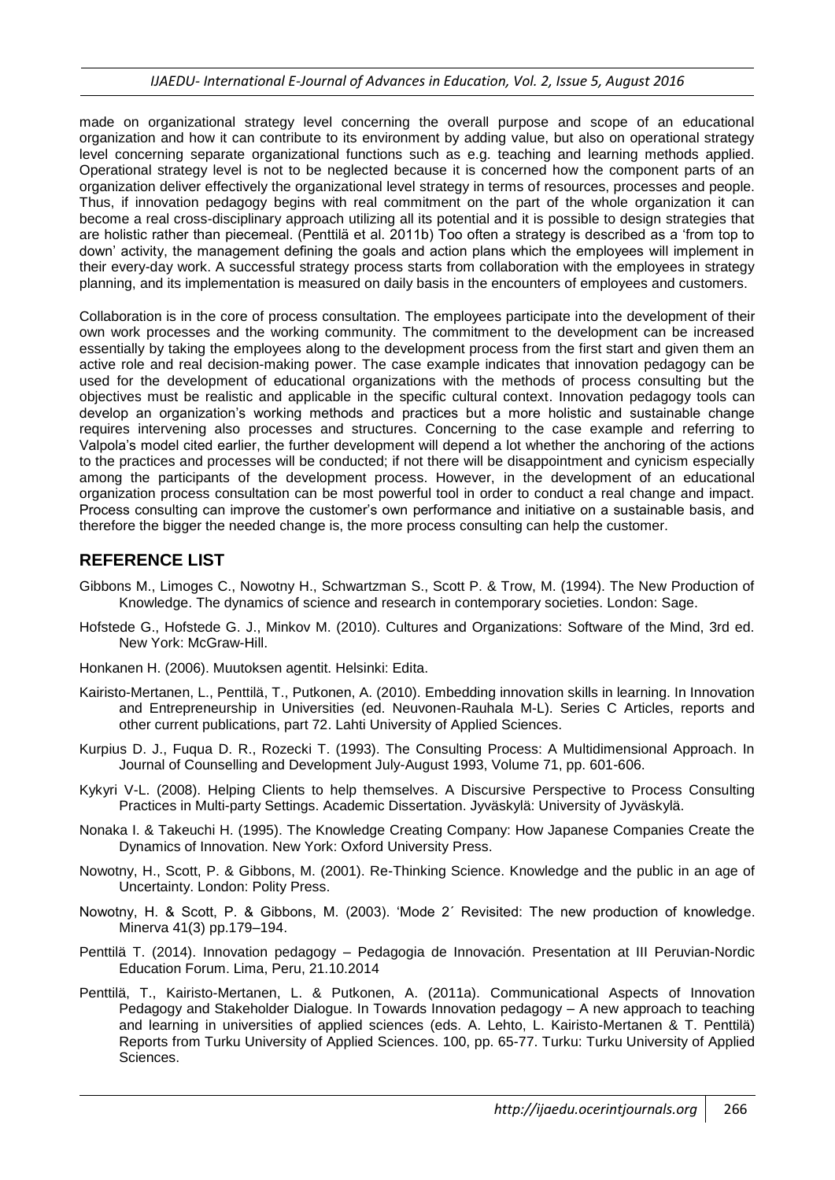made on organizational strategy level concerning the overall purpose and scope of an educational organization and how it can contribute to its environment by adding value, but also on operational strategy level concerning separate organizational functions such as e.g. teaching and learning methods applied. Operational strategy level is not to be neglected because it is concerned how the component parts of an organization deliver effectively the organizational level strategy in terms of resources, processes and people. Thus, if innovation pedagogy begins with real commitment on the part of the whole organization it can become a real cross-disciplinary approach utilizing all its potential and it is possible to design strategies that are holistic rather than piecemeal. (Penttilä et al. 2011b) Too often a strategy is described as a 'from top to down' activity, the management defining the goals and action plans which the employees will implement in their every-day work. A successful strategy process starts from collaboration with the employees in strategy planning, and its implementation is measured on daily basis in the encounters of employees and customers.

Collaboration is in the core of process consultation. The employees participate into the development of their own work processes and the working community. The commitment to the development can be increased essentially by taking the employees along to the development process from the first start and given them an active role and real decision-making power. The case example indicates that innovation pedagogy can be used for the development of educational organizations with the methods of process consulting but the objectives must be realistic and applicable in the specific cultural context. Innovation pedagogy tools can develop an organization's working methods and practices but a more holistic and sustainable change requires intervening also processes and structures. Concerning to the case example and referring to Valpola's model cited earlier, the further development will depend a lot whether the anchoring of the actions to the practices and processes will be conducted; if not there will be disappointment and cynicism especially among the participants of the development process. However, in the development of an educational organization process consultation can be most powerful tool in order to conduct a real change and impact. Process consulting can improve the customer's own performance and initiative on a sustainable basis, and therefore the bigger the needed change is, the more process consulting can help the customer.

### **REFERENCE LIST**

- Gibbons M., Limoges C., Nowotny H., Schwartzman S., Scott P. & Trow, M. (1994). The New Production of Knowledge. The dynamics of science and research in contemporary societies. London: Sage.
- Hofstede G., Hofstede G. J., Minkov M. (2010). Cultures and Organizations: Software of the Mind, 3rd ed. New York: McGraw-Hill.
- Honkanen H. (2006). Muutoksen agentit. Helsinki: Edita.
- Kairisto-Mertanen, L., Penttilä, T., Putkonen, A. (2010). Embedding innovation skills in learning. In Innovation and Entrepreneurship in Universities (ed. Neuvonen-Rauhala M-L). Series C Articles, reports and other current publications, part 72. Lahti University of Applied Sciences.
- Kurpius D. J., Fuqua D. R., Rozecki T. (1993). The Consulting Process: A Multidimensional Approach. In Journal of Counselling and Development July-August 1993, Volume 71, pp. 601-606.
- Kykyri V-L. (2008). Helping Clients to help themselves. A Discursive Perspective to Process Consulting Practices in Multi-party Settings. Academic Dissertation. Jyväskylä: University of Jyväskylä.
- Nonaka I. & Takeuchi H. (1995). The Knowledge Creating Company: How Japanese Companies Create the Dynamics of Innovation. New York: Oxford University Press.
- Nowotny, H., Scott, P. & Gibbons, M. (2001). Re-Thinking Science. Knowledge and the public in an age of Uncertainty. London: Polity Press.
- Nowotny, H. & Scott, P. & Gibbons, M. (2003). 'Mode 2´ Revisited: The new production of knowledge. Minerva 41(3) pp.179–194.
- Penttilä T. (2014). Innovation pedagogy Pedagogia de Innovación. Presentation at III Peruvian-Nordic Education Forum. Lima, Peru, 21.10.2014
- Penttilä, T., Kairisto-Mertanen, L. & Putkonen, A. (2011a). Communicational Aspects of Innovation Pedagogy and Stakeholder Dialogue. In Towards Innovation pedagogy – A new approach to teaching and learning in universities of applied sciences (eds. A. Lehto, L. Kairisto-Mertanen & T. Penttilä) Reports from Turku University of Applied Sciences. 100, pp. 65-77. Turku: Turku University of Applied Sciences.